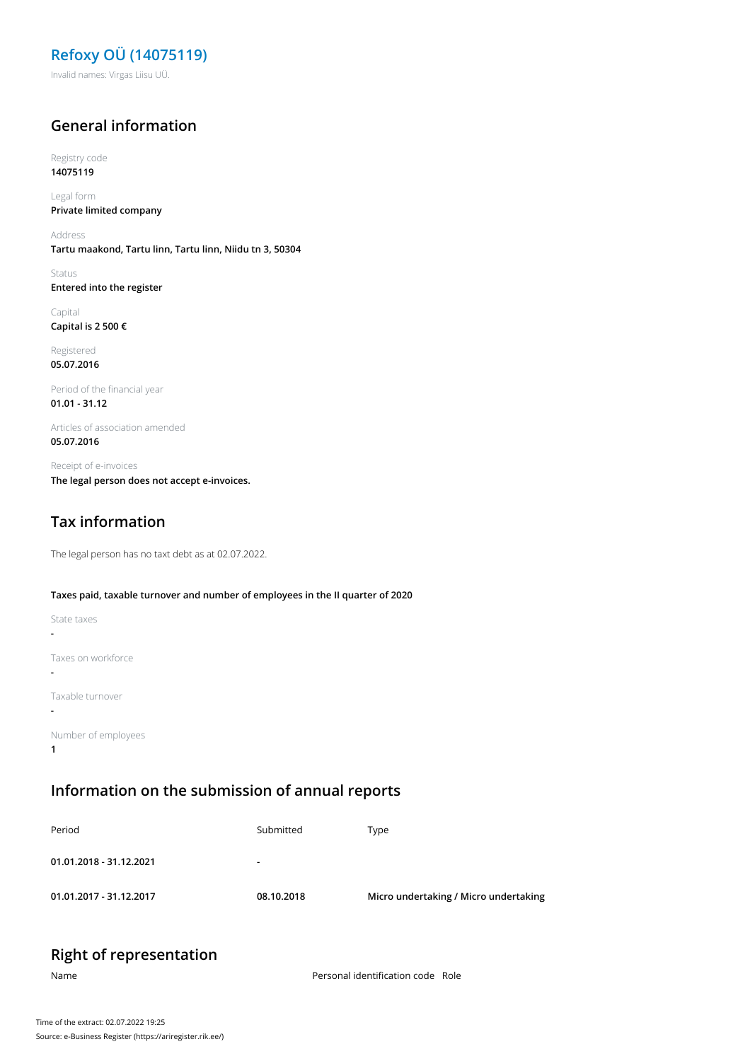**Refoxy OÜ (14075119)** Invalid names: Virgas Liisu UÜ.

#### **General information**

Registry code **14075119**

Legal form **Private limited company**

Address **Tartu maakond, Tartu linn, Tartu linn, Niidu tn 3, 50304**

Status **Entered into the register**

Capital **Capital is 2 500 €**

Registered **05.07.2016**

Period of the financial year **01.01 - 31.12**

Articles of association amended **05.07.2016**

Receipt of e-invoices **The legal person does not accept e-invoices.**

## **Tax information**

The legal person has no taxt debt as at 02.07.2022.

#### **Taxes paid, taxable turnover and number of employees in the II quarter of 2020**

| State taxes         |
|---------------------|
|                     |
| Taxes on workforce  |
| Taxable turnover    |
| Number of employees |

### **Information on the submission of annual reports**

| Period                  | Submitted                | Type                                  |
|-------------------------|--------------------------|---------------------------------------|
| 01.01.2018 - 31.12.2021 | $\overline{\phantom{a}}$ |                                       |
| 01.01.2017 - 31.12.2017 | 08.10.2018               | Micro undertaking / Micro undertaking |

# **Right of representation**

**1**

Name **Name** Personal identification code Role